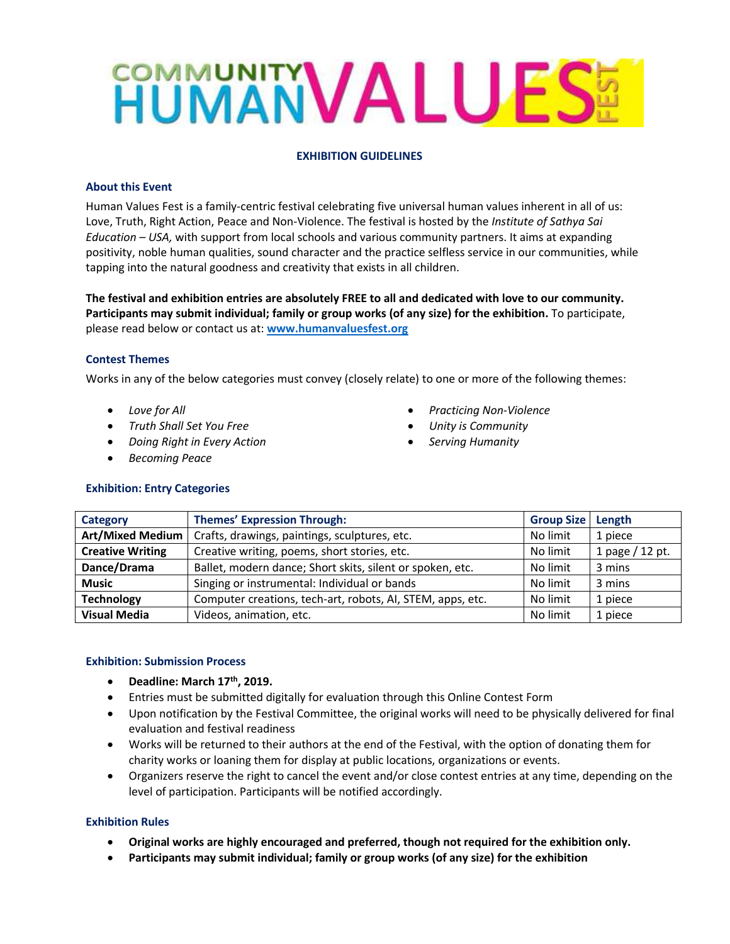# **HUMANVALUES!**

# **EXHIBITION GUIDELINES**

# **About this Event**

Human Values Fest is a family-centric festival celebrating five universal human values inherent in all of us: Love, Truth, Right Action, Peace and Non-Violence. The festival is hosted by the *Institute of Sathya Sai Education – USA,* with support from local schools and various community partners. It aims at expanding positivity, noble human qualities, sound character and the practice selfless service in our communities, while tapping into the natural goodness and creativity that exists in all children.

**The festival and exhibition entries are absolutely FREE to all and dedicated with love to our community. Participants may submit individual; family or group works (of any size) for the exhibition.** To participate, please read below or contact us at: **[www.humanvaluesfest.org](http://www.humanvaluesfest.org/)**

### **Contest Themes**

Works in any of the below categories must convey (closely relate) to one or more of the following themes:

- *Love for All*
- *Truth Shall Set You Free*
- *Doing Right in Every Action*
- *Becoming Peace*
- *Practicing Non-Violence*
- *Unity is Community*
- *Serving Humanity*

| Category                | <b>Themes' Expression Through:</b>                         | <b>Group Size</b> | Length          |
|-------------------------|------------------------------------------------------------|-------------------|-----------------|
| <b>Art/Mixed Medium</b> | Crafts, drawings, paintings, sculptures, etc.              | No limit          | 1 piece         |
| <b>Creative Writing</b> | Creative writing, poems, short stories, etc.               | No limit          | 1 page / 12 pt. |
| Dance/Drama             | Ballet, modern dance; Short skits, silent or spoken, etc.  | No limit          | 3 mins          |
| <b>Music</b>            | Singing or instrumental: Individual or bands               | No limit          | 3 mins          |
| <b>Technology</b>       | Computer creations, tech-art, robots, AI, STEM, apps, etc. | No limit          | 1 piece         |
| <b>Visual Media</b>     | Videos, animation, etc.                                    | No limit          | 1 piece         |

### **Exhibition: Submission Process**

- **Deadline: March 17th, 2019.**
- Entries must be submitted digitally for evaluation through this Online Contest Form
- Upon notification by the Festival Committee, the original works will need to be physically delivered for final evaluation and festival readiness
- Works will be returned to their authors at the end of the Festival, with the option of donating them for charity works or loaning them for display at public locations, organizations or events.
- Organizers reserve the right to cancel the event and/or close contest entries at any time, depending on the level of participation. Participants will be notified accordingly.

### **Exhibition Rules**

- **Original works are highly encouraged and preferred, though not required for the exhibition only.**
- **Participants may submit individual; family or group works (of any size) for the exhibition**

### **Exhibition: Entry Categories**